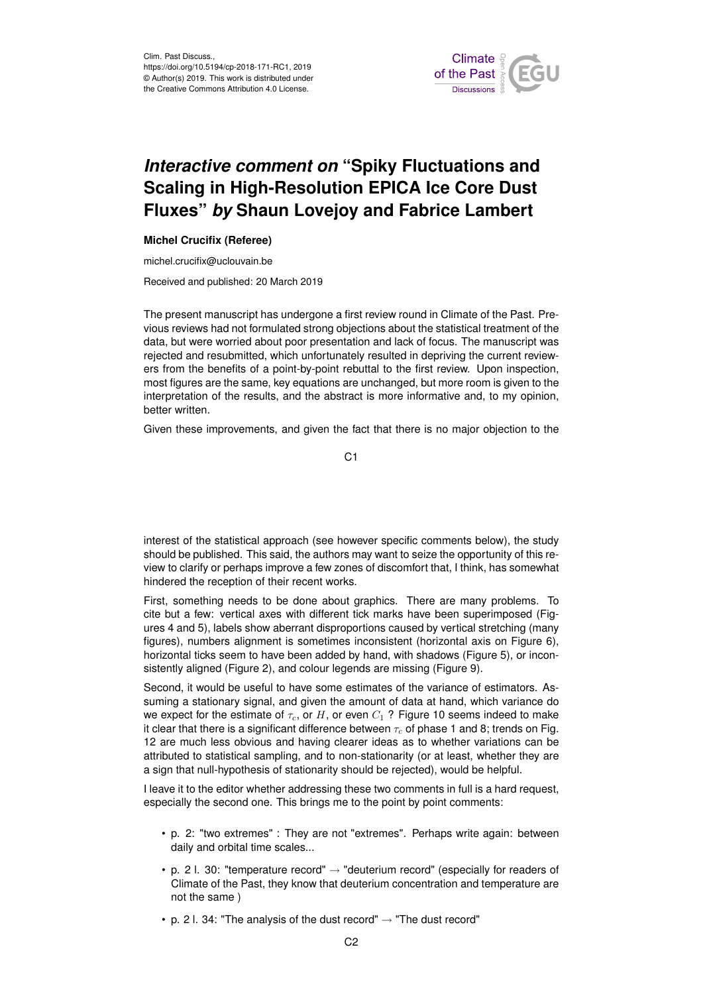

## *Interactive comment on* **"Spiky Fluctuations and Scaling in High-Resolution EPICA Ice Core Dust Fluxes"** *by* **Shaun Lovejoy and Fabrice Lambert**

## **Michel Crucifix (Referee)**

michel.crucifix@uclouvain.be

Received and published: 20 March 2019

The present manuscript has undergone a first review round in Climate of the Past. Previous reviews had not formulated strong objections about the statistical treatment of the data, but were worried about poor presentation and lack of focus. The manuscript was rejected and resubmitted, which unfortunately resulted in depriving the current reviewers from the benefits of a point-by-point rebuttal to the first review. Upon inspection, most figures are the same, key equations are unchanged, but more room is given to the interpretation of the results, and the abstract is more informative and, to my opinion, better written.

Given these improvements, and given the fact that there is no major objection to the

C1

interest of the statistical approach (see however specific comments below), the study should be published. This said, the authors may want to seize the opportunity of this review to clarify or perhaps improve a few zones of discomfort that, I think, has somewhat hindered the reception of their recent works.

First, something needs to be done about graphics. There are many problems. To cite but a few: vertical axes with different tick marks have been superimposed (Figures 4 and 5), labels show aberrant disproportions caused by vertical stretching (many figures), numbers alignment is sometimes inconsistent (horizontal axis on Figure 6), horizontal ticks seem to have been added by hand, with shadows (Figure 5), or inconsistently aligned (Figure 2), and colour legends are missing (Figure 9).

Second, it would be useful to have some estimates of the variance of estimators. Assuming a stationary signal, and given the amount of data at hand, which variance do we expect for the estimate of  $\tau_c$ , or H, or even  $C_1$  ? Figure 10 seems indeed to make it clear that there is a significant difference between  $\tau_c$  of phase 1 and 8; trends on Fig. 12 are much less obvious and having clearer ideas as to whether variations can be attributed to statistical sampling, and to non-stationarity (or at least, whether they are a sign that null-hypothesis of stationarity should be rejected), would be helpful.

I leave it to the editor whether addressing these two comments in full is a hard request, especially the second one. This brings me to the point by point comments:

- p. 2: "two extremes" : They are not "extremes". Perhaps write again: between daily and orbital time scales...
- p. 2 l. 30: "temperature record"  $\rightarrow$  "deuterium record" (especially for readers of Climate of the Past, they know that deuterium concentration and temperature are not the same )
- p. 2 l. 34: "The analysis of the dust record"  $\rightarrow$  "The dust record"